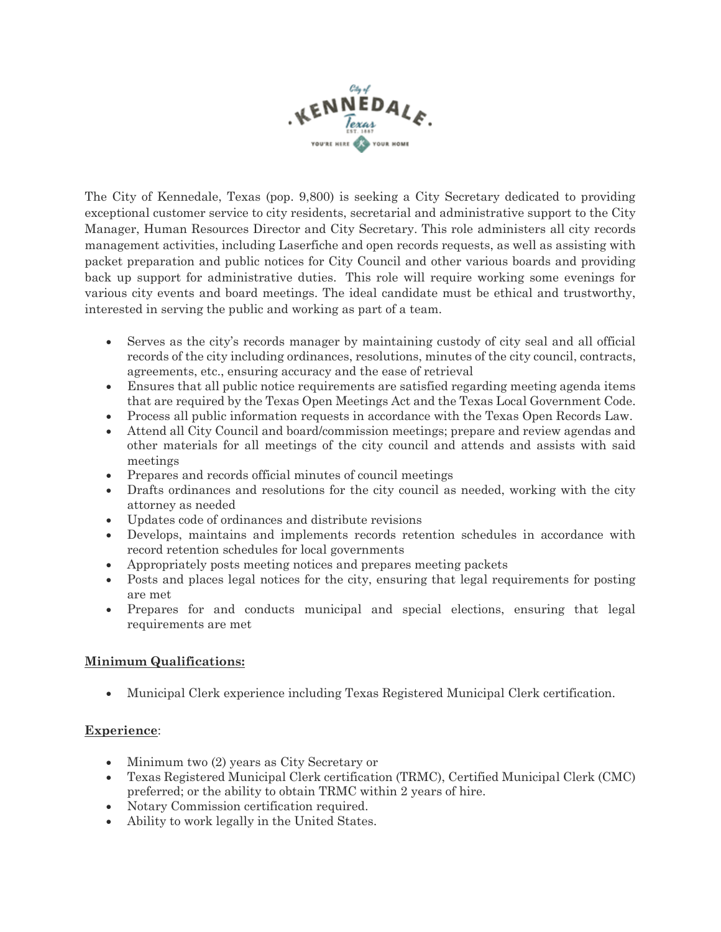

The City of Kennedale, Texas (pop. 9,800) is seeking a City Secretary dedicated to providing exceptional customer service to city residents, secretarial and administrative support to the City Manager, Human Resources Director and City Secretary. This role administers all city records management activities, including Laserfiche and open records requests, as well as assisting with packet preparation and public notices for City Council and other various boards and providing back up support for administrative duties. This role will require working some evenings for various city events and board meetings. The ideal candidate must be ethical and trustworthy, interested in serving the public and working as part of a team.

- Serves as the city's records manager by maintaining custody of city seal and all official records of the city including ordinances, resolutions, minutes of the city council, contracts, agreements, etc., ensuring accuracy and the ease of retrieval
- Ensures that all public notice requirements are satisfied regarding meeting agenda items that are required by the Texas Open Meetings Act and the Texas Local Government Code.
- Process all public information requests in accordance with the Texas Open Records Law.
- Attend all City Council and board/commission meetings; prepare and review agendas and other materials for all meetings of the city council and attends and assists with said meetings
- Prepares and records official minutes of council meetings
- Drafts ordinances and resolutions for the city council as needed, working with the city attorney as needed
- Updates code of ordinances and distribute revisions
- Develops, maintains and implements records retention schedules in accordance with record retention schedules for local governments
- Appropriately posts meeting notices and prepares meeting packets
- Posts and places legal notices for the city, ensuring that legal requirements for posting are met
- Prepares for and conducts municipal and special elections, ensuring that legal requirements are met

### **Minimum Qualifications:**

• Municipal Clerk experience including Texas Registered Municipal Clerk certification.

#### **Experience**:

- Minimum two (2) years as City Secretary or
- Texas Registered Municipal Clerk certification (TRMC), Certified Municipal Clerk (CMC) preferred; or the ability to obtain TRMC within 2 years of hire.
- Notary Commission certification required.
- Ability to work legally in the United States.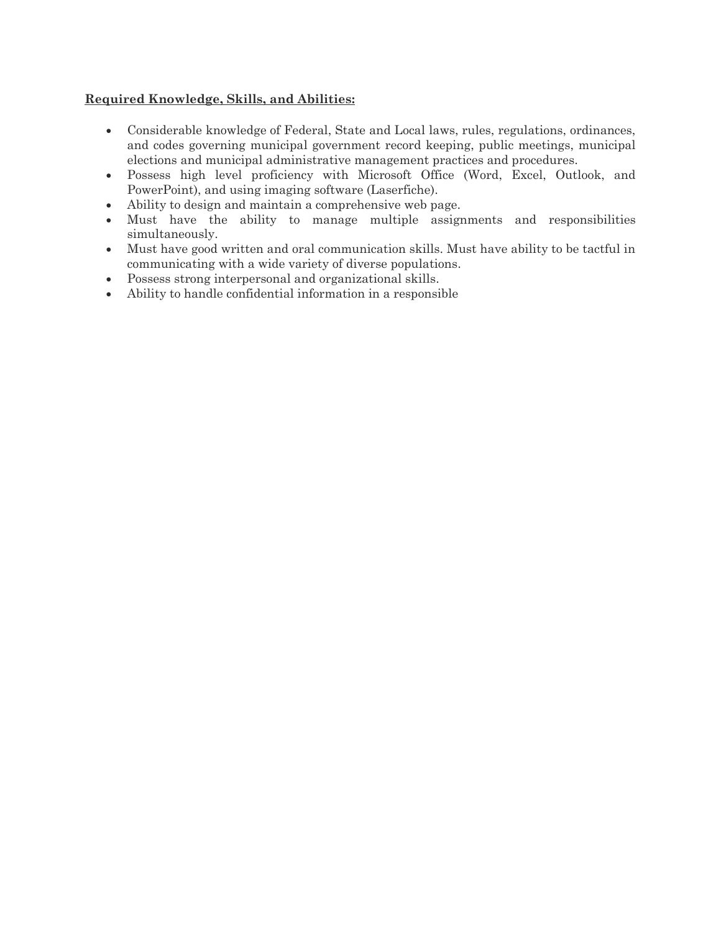#### **Required Knowledge, Skills, and Abilities:**

- Considerable knowledge of Federal, State and Local laws, rules, regulations, ordinances, and codes governing municipal government record keeping, public meetings, municipal elections and municipal administrative management practices and procedures.
- Possess high level proficiency with Microsoft Office (Word, Excel, Outlook, and PowerPoint), and using imaging software (Laserfiche).
- Ability to design and maintain a comprehensive web page.
- Must have the ability to manage multiple assignments and responsibilities simultaneously.
- Must have good written and oral communication skills. Must have ability to be tactful in communicating with a wide variety of diverse populations.
- Possess strong interpersonal and organizational skills.
- Ability to handle confidential information in a responsible